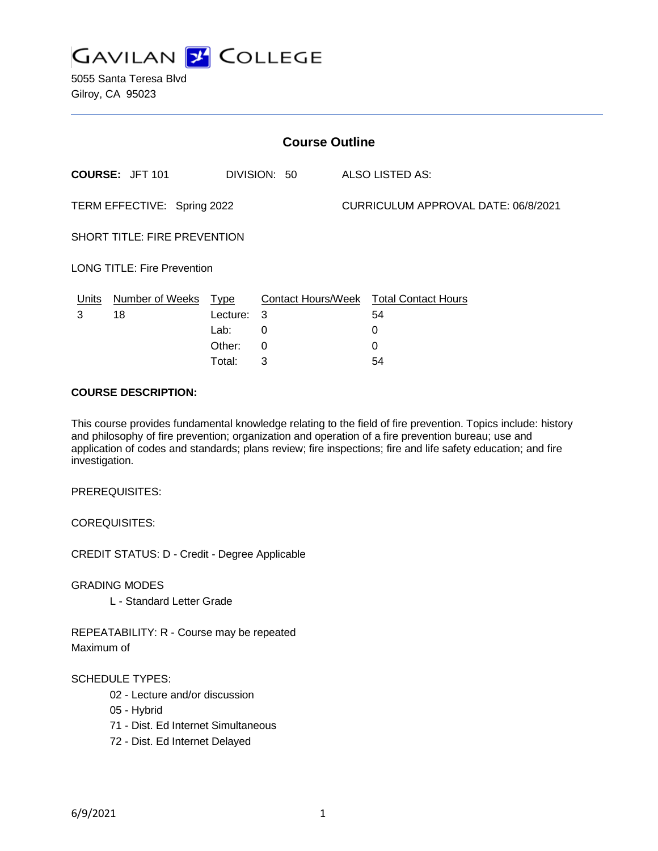

5055 Santa Teresa Blvd Gilroy, CA 95023

| <b>Course Outline</b>               |                        |              |   |                                     |                                        |
|-------------------------------------|------------------------|--------------|---|-------------------------------------|----------------------------------------|
| COURSE: JFT 101                     |                        | DIVISION: 50 |   | <b>ALSO LISTED AS:</b>              |                                        |
| TERM EFFECTIVE: Spring 2022         |                        |              |   | CURRICULUM APPROVAL DATE: 06/8/2021 |                                        |
| <b>SHORT TITLE: FIRE PREVENTION</b> |                        |              |   |                                     |                                        |
| <b>LONG TITLE: Fire Prevention</b>  |                        |              |   |                                     |                                        |
| Units                               | <b>Number of Weeks</b> | <u>Type</u>  |   |                                     | Contact Hours/Week Total Contact Hours |
| 3                                   | 18                     | Lecture: 3   |   |                                     | 54                                     |
|                                     |                        | Lab:         | 0 |                                     | 0                                      |
|                                     |                        | Other:       | 0 |                                     | 0                                      |
|                                     |                        | Total:       | 3 |                                     | 54                                     |

#### **COURSE DESCRIPTION:**

This course provides fundamental knowledge relating to the field of fire prevention. Topics include: history and philosophy of fire prevention; organization and operation of a fire prevention bureau; use and application of codes and standards; plans review; fire inspections; fire and life safety education; and fire investigation.

PREREQUISITES:

COREQUISITES:

CREDIT STATUS: D - Credit - Degree Applicable

GRADING MODES

L - Standard Letter Grade

REPEATABILITY: R - Course may be repeated Maximum of

#### SCHEDULE TYPES:

- 02 Lecture and/or discussion
- 05 Hybrid
- 71 Dist. Ed Internet Simultaneous
- 72 Dist. Ed Internet Delayed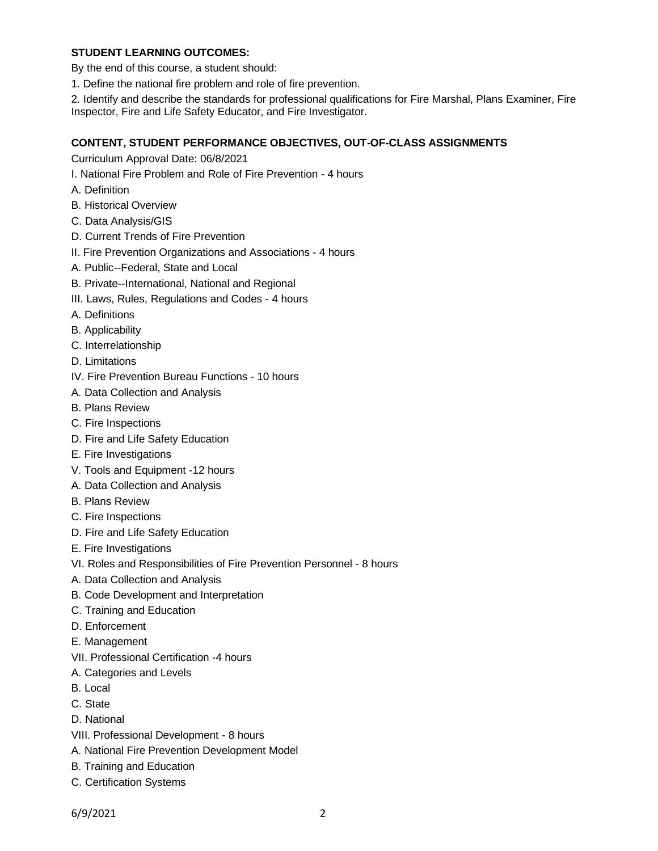## **STUDENT LEARNING OUTCOMES:**

By the end of this course, a student should:

1. Define the national fire problem and role of fire prevention.

2. Identify and describe the standards for professional qualifications for Fire Marshal, Plans Examiner, Fire Inspector, Fire and Life Safety Educator, and Fire Investigator.

#### **CONTENT, STUDENT PERFORMANCE OBJECTIVES, OUT-OF-CLASS ASSIGNMENTS**

Curriculum Approval Date: 06/8/2021

- I. National Fire Problem and Role of Fire Prevention 4 hours
- A. Definition
- B. Historical Overview
- C. Data Analysis/GIS
- D. Current Trends of Fire Prevention
- II. Fire Prevention Organizations and Associations 4 hours
- A. Public--Federal, State and Local
- B. Private--International, National and Regional
- III. Laws, Rules, Regulations and Codes 4 hours
- A. Definitions
- B. Applicability
- C. Interrelationship
- D. Limitations
- IV. Fire Prevention Bureau Functions 10 hours
- A. Data Collection and Analysis
- B. Plans Review
- C. Fire Inspections
- D. Fire and Life Safety Education
- E. Fire Investigations
- V. Tools and Equipment -12 hours
- A. Data Collection and Analysis
- B. Plans Review
- C. Fire Inspections
- D. Fire and Life Safety Education
- E. Fire Investigations
- VI. Roles and Responsibilities of Fire Prevention Personnel 8 hours
- A. Data Collection and Analysis
- B. Code Development and Interpretation
- C. Training and Education
- D. Enforcement
- E. Management
- VII. Professional Certification -4 hours
- A. Categories and Levels
- B. Local
- C. State
- D. National
- VIII. Professional Development 8 hours
- A. National Fire Prevention Development Model
- B. Training and Education
- C. Certification Systems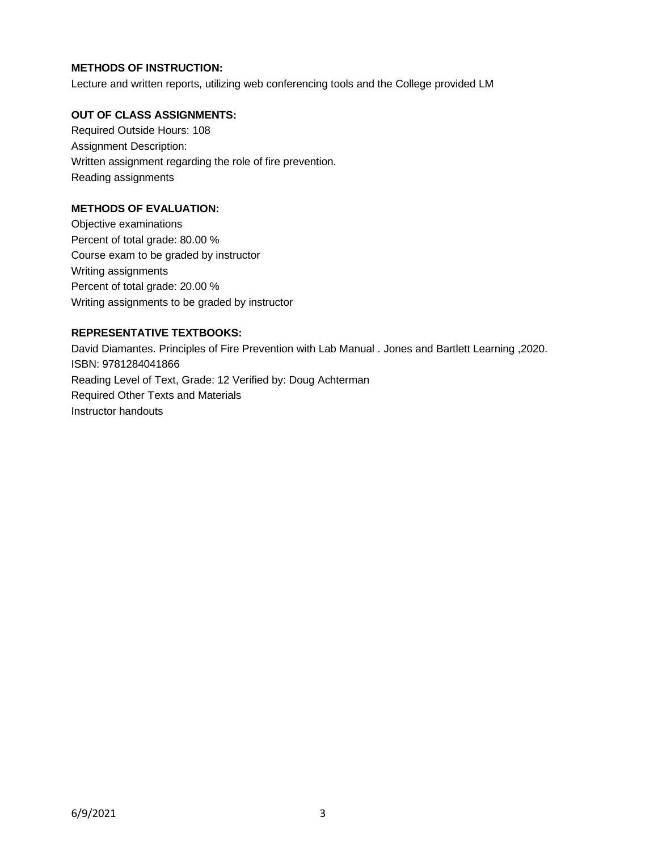# **METHODS OF INSTRUCTION:**

Lecture and written reports, utilizing web conferencing tools and the College provided LM

# **OUT OF CLASS ASSIGNMENTS:**

Required Outside Hours: 108 Assignment Description: Written assignment regarding the role of fire prevention. Reading assignments

# **METHODS OF EVALUATION:**

Objective examinations Percent of total grade: 80.00 % Course exam to be graded by instructor Writing assignments Percent of total grade: 20.00 % Writing assignments to be graded by instructor

# **REPRESENTATIVE TEXTBOOKS:**

David Diamantes. Principles of Fire Prevention with Lab Manual . Jones and Bartlett Learning ,2020. ISBN: 9781284041866 Reading Level of Text, Grade: 12 Verified by: Doug Achterman Required Other Texts and Materials Instructor handouts